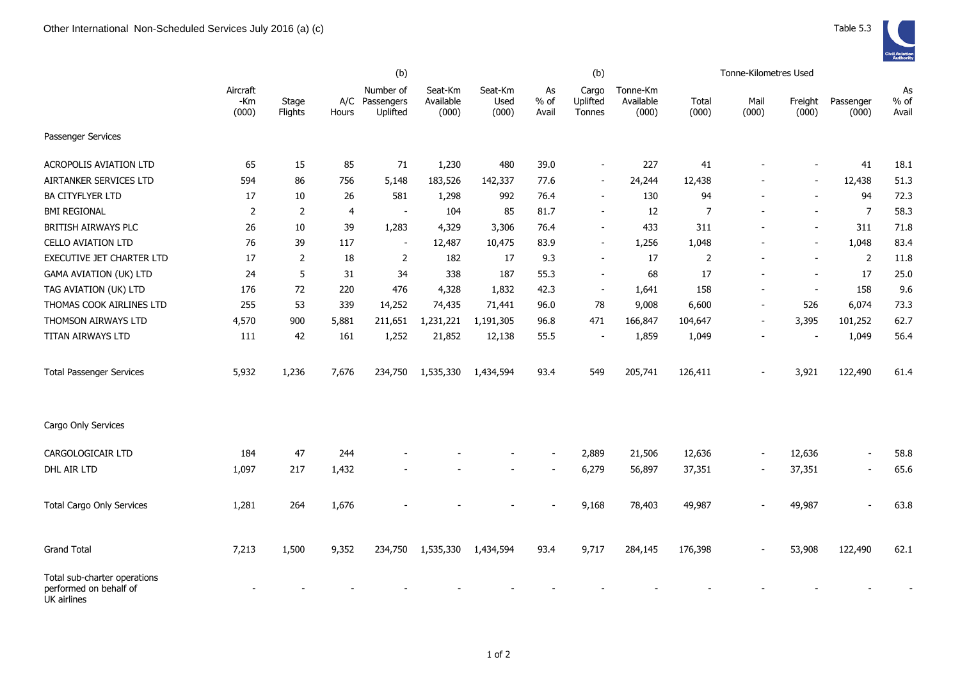|                                                                       | (b)                      |                  |       |                                         |                               |                          |                       | (b)                         |                                | Tonne-Kilometres Used |                |                  |                    |                       |  |
|-----------------------------------------------------------------------|--------------------------|------------------|-------|-----------------------------------------|-------------------------------|--------------------------|-----------------------|-----------------------------|--------------------------------|-----------------------|----------------|------------------|--------------------|-----------------------|--|
|                                                                       | Aircraft<br>-Km<br>(000) | Stage<br>Flights | Hours | Number of<br>A/C Passengers<br>Uplifted | Seat-Km<br>Available<br>(000) | Seat-Km<br>Used<br>(000) | As<br>$%$ of<br>Avail | Cargo<br>Uplifted<br>Tonnes | Tonne-Km<br>Available<br>(000) | Total<br>(000)        | Mail<br>(000)  | Freight<br>(000) | Passenger<br>(000) | As<br>$%$ of<br>Avail |  |
| Passenger Services                                                    |                          |                  |       |                                         |                               |                          |                       |                             |                                |                       |                |                  |                    |                       |  |
| <b>ACROPOLIS AVIATION LTD</b>                                         | 65                       | 15               | 85    | 71                                      | 1,230                         | 480                      | 39.0                  | $\blacksquare$              | 227                            | 41                    |                |                  | 41                 | 18.1                  |  |
| AIRTANKER SERVICES LTD                                                | 594                      | 86               | 756   | 5,148                                   | 183,526                       | 142,337                  | 77.6                  | $\sim$                      | 24,244                         | 12,438                |                |                  | 12,438             | 51.3                  |  |
| <b>BA CITYFLYER LTD</b>                                               | 17                       | 10               | 26    | 581                                     | 1,298                         | 992                      | 76.4                  |                             | 130                            | 94                    |                |                  | 94                 | 72.3                  |  |
| <b>BMI REGIONAL</b>                                                   | 2                        | 2                | 4     | $\blacksquare$                          | 104                           | 85                       | 81.7                  | $\blacksquare$              | 12                             | $\overline{7}$        |                |                  | $\overline{7}$     | 58.3                  |  |
| BRITISH AIRWAYS PLC                                                   | 26                       | 10               | 39    | 1,283                                   | 4,329                         | 3,306                    | 76.4                  | $\blacksquare$              | 433                            | 311                   |                |                  | 311                | 71.8                  |  |
| <b>CELLO AVIATION LTD</b>                                             | 76                       | 39               | 117   | $\blacksquare$                          | 12,487                        | 10,475                   | 83.9                  | $\overline{\phantom{m}}$    | 1,256                          | 1,048                 |                |                  | 1,048              | 83.4                  |  |
| EXECUTIVE JET CHARTER LTD                                             | 17                       | $\overline{2}$   | 18    | 2                                       | 182                           | 17                       | 9.3                   | $\overline{\phantom{a}}$    | 17                             | $\overline{2}$        |                |                  | $\overline{2}$     | 11.8                  |  |
| <b>GAMA AVIATION (UK) LTD</b>                                         | 24                       | 5                | 31    | 34                                      | 338                           | 187                      | 55.3                  | $\overline{\phantom{a}}$    | 68                             | 17                    |                |                  | 17                 | 25.0                  |  |
| TAG AVIATION (UK) LTD                                                 | 176                      | 72               | 220   | 476                                     | 4,328                         | 1,832                    | 42.3                  | $\overline{\phantom{a}}$    | 1,641                          | 158                   |                | $\sim$           | 158                | 9.6                   |  |
| THOMAS COOK AIRLINES LTD                                              | 255                      | 53               | 339   | 14,252                                  | 74,435                        | 71,441                   | 96.0                  | 78                          | 9,008                          | 6,600                 | $\blacksquare$ | 526              | 6,074              | 73.3                  |  |
| THOMSON AIRWAYS LTD                                                   | 4,570                    | 900              | 5,881 | 211,651                                 | 1,231,221                     | 1,191,305                | 96.8                  | 471                         | 166,847                        | 104,647               | $\blacksquare$ | 3,395            | 101,252            | 62.7                  |  |
| TITAN AIRWAYS LTD                                                     | 111                      | 42               | 161   | 1,252                                   | 21,852                        | 12,138                   | 55.5                  |                             | 1,859                          | 1,049                 |                |                  | 1,049              | 56.4                  |  |
| <b>Total Passenger Services</b>                                       | 5,932                    | 1,236            | 7,676 | 234,750                                 | 1,535,330                     | 1,434,594                | 93.4                  | 549                         | 205,741                        | 126,411               |                | 3,921            | 122,490            | 61.4                  |  |
| Cargo Only Services                                                   |                          |                  |       |                                         |                               |                          |                       |                             |                                |                       |                |                  |                    |                       |  |
| CARGOLOGICAIR LTD                                                     | 184                      | 47               | 244   |                                         |                               |                          |                       | 2,889                       | 21,506                         | 12,636                |                | 12,636           |                    | 58.8                  |  |
| DHL AIR LTD                                                           | 1,097                    | 217              | 1,432 |                                         |                               |                          |                       | 6,279                       | 56,897                         | 37,351                |                | 37,351           |                    | 65.6                  |  |
| <b>Total Cargo Only Services</b>                                      | 1,281                    | 264              | 1,676 |                                         |                               |                          |                       | 9,168                       | 78,403                         | 49,987                |                | 49,987           |                    | 63.8                  |  |
| <b>Grand Total</b>                                                    | 7,213                    | 1,500            | 9,352 | 234,750                                 | 1,535,330                     | 1,434,594                | 93.4                  | 9,717                       | 284,145                        | 176,398               |                | 53,908           | 122,490            | 62.1                  |  |
| Total sub-charter operations<br>performed on behalf of<br>UK airlines |                          |                  |       |                                         |                               |                          |                       |                             |                                |                       |                |                  |                    |                       |  |